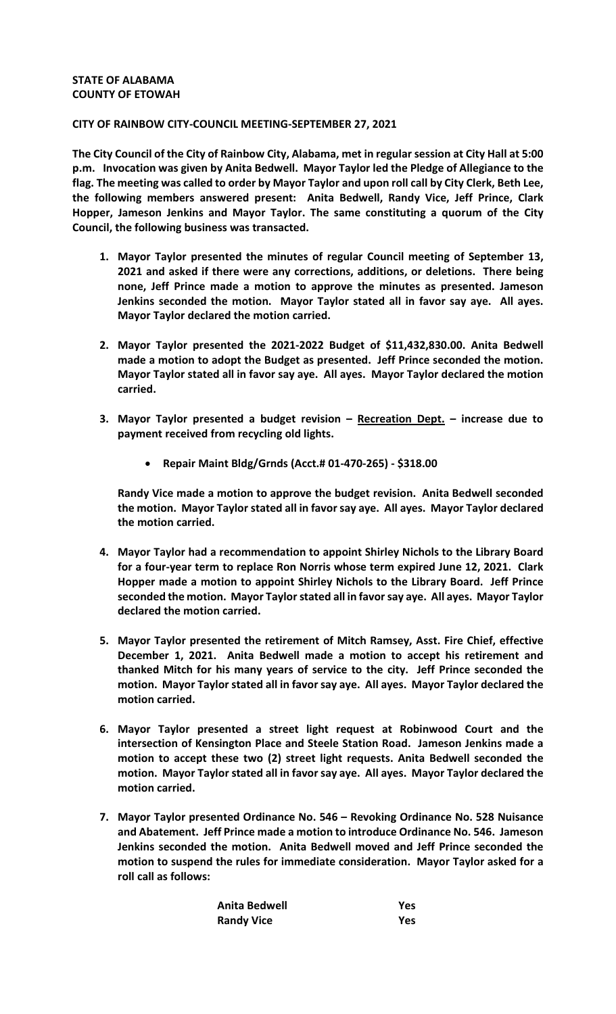## **STATE OF ALABAMA COUNTY OF ETOWAH**

## **CITY OF RAINBOW CITY-COUNCIL MEETING-SEPTEMBER 27, 2021**

**The City Council of the City of Rainbow City, Alabama, met in regular session at City Hall at 5:00 p.m. Invocation was given by Anita Bedwell. Mayor Taylor led the Pledge of Allegiance to the flag. The meeting was called to order by Mayor Taylor and upon roll call by City Clerk, Beth Lee, the following members answered present: Anita Bedwell, Randy Vice, Jeff Prince, Clark Hopper, Jameson Jenkins and Mayor Taylor. The same constituting a quorum of the City Council, the following business was transacted.** 

- **1. Mayor Taylor presented the minutes of regular Council meeting of September 13, 2021 and asked if there were any corrections, additions, or deletions. There being none, Jeff Prince made a motion to approve the minutes as presented. Jameson Jenkins seconded the motion. Mayor Taylor stated all in favor say aye. All ayes. Mayor Taylor declared the motion carried.**
- **2. Mayor Taylor presented the 2021-2022 Budget of \$11,432,830.00. Anita Bedwell made a motion to adopt the Budget as presented. Jeff Prince seconded the motion. Mayor Taylor stated all in favor say aye. All ayes. Mayor Taylor declared the motion carried.**
- **3. Mayor Taylor presented a budget revision Recreation Dept. increase due to payment received from recycling old lights.**
	- **Repair Maint Bldg/Grnds (Acct.# 01-470-265) \$318.00**

**Randy Vice made a motion to approve the budget revision. Anita Bedwell seconded the motion. Mayor Taylor stated all in favor say aye. All ayes. Mayor Taylor declared the motion carried.**

- **4. Mayor Taylor had a recommendation to appoint Shirley Nichols to the Library Board for a four-year term to replace Ron Norris whose term expired June 12, 2021. Clark Hopper made a motion to appoint Shirley Nichols to the Library Board. Jeff Prince seconded the motion. Mayor Taylor stated all in favor say aye. All ayes. Mayor Taylor declared the motion carried.**
- **5. Mayor Taylor presented the retirement of Mitch Ramsey, Asst. Fire Chief, effective December 1, 2021. Anita Bedwell made a motion to accept his retirement and thanked Mitch for his many years of service to the city. Jeff Prince seconded the motion. Mayor Taylor stated all in favor say aye. All ayes. Mayor Taylor declared the motion carried.**
- **6. Mayor Taylor presented a street light request at Robinwood Court and the intersection of Kensington Place and Steele Station Road. Jameson Jenkins made a motion to accept these two (2) street light requests. Anita Bedwell seconded the motion. Mayor Taylor stated all in favor say aye. All ayes. Mayor Taylor declared the motion carried.**
- **7. Mayor Taylor presented Ordinance No. 546 Revoking Ordinance No. 528 Nuisance and Abatement. Jeff Prince made a motion to introduce Ordinance No. 546. Jameson Jenkins seconded the motion. Anita Bedwell moved and Jeff Prince seconded the motion to suspend the rules for immediate consideration. Mayor Taylor asked for a roll call as follows:**

| <b>Anita Bedwell</b> | Yes |
|----------------------|-----|
| <b>Randy Vice</b>    | Yes |